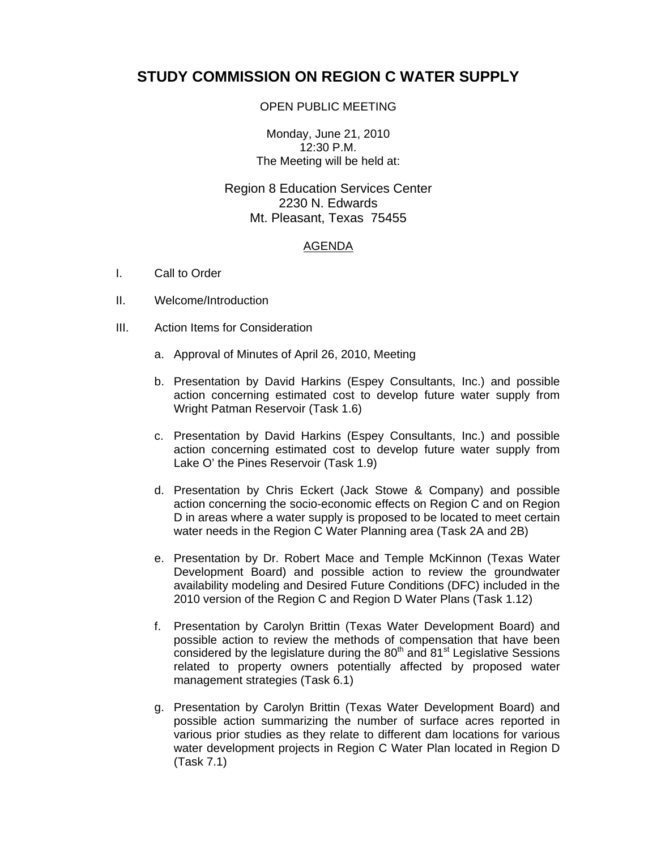## **STUDY COMMISSION ON REGION C WATER SUPPLY**

## OPEN PUBLIC MEETING

Monday, June 21, 2010 12:30 P.M. The Meeting will be held at:

Region 8 Education Services Center 2230 N. Edwards Mt. Pleasant, Texas 75455

## AGENDA

- I. Call to Order
- II. Welcome/Introduction
- III. Action Items for Consideration
	- a. Approval of Minutes of April 26, 2010, Meeting
	- b. Presentation by David Harkins (Espey Consultants, Inc.) and possible action concerning estimated cost to develop future water supply from Wright Patman Reservoir (Task 1.6)
	- c. Presentation by David Harkins (Espey Consultants, Inc.) and possible action concerning estimated cost to develop future water supply from Lake O' the Pines Reservoir (Task 1.9)
	- d. Presentation by Chris Eckert (Jack Stowe & Company) and possible action concerning the socio-economic effects on Region C and on Region D in areas where a water supply is proposed to be located to meet certain water needs in the Region C Water Planning area (Task 2A and 2B)
	- e. Presentation by Dr. Robert Mace and Temple McKinnon (Texas Water Development Board) and possible action to review the groundwater availability modeling and Desired Future Conditions (DFC) included in the 2010 version of the Region C and Region D Water Plans (Task 1.12)
	- f. Presentation by Carolyn Brittin (Texas Water Development Board) and possible action to review the methods of compensation that have been considered by the legislature during the  $80<sup>th</sup>$  and  $81<sup>st</sup>$  Legislative Sessions related to property owners potentially affected by proposed water management strategies (Task 6.1)
	- g. Presentation by Carolyn Brittin (Texas Water Development Board) and possible action summarizing the number of surface acres reported in various prior studies as they relate to different dam locations for various water development projects in Region C Water Plan located in Region D (Task 7.1)